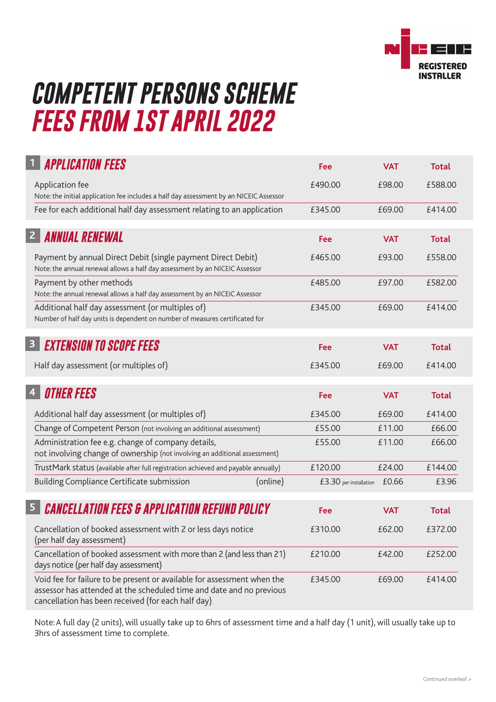

## *COMPETENT PERSONS SCHEME FEES FROM 1ST APRIL 2022*

| <b>APPLICATION FEES</b>                                                                                                                                                                               | Fee                    | <b>VAT</b> | <b>Total</b> |  |
|-------------------------------------------------------------------------------------------------------------------------------------------------------------------------------------------------------|------------------------|------------|--------------|--|
| Application fee<br>Note: the initial application fee includes a half day assessment by an NICEIC Assessor                                                                                             | £490.00                | £98.00     | £588.00      |  |
| Fee for each additional half day assessment relating to an application                                                                                                                                | £345.00                | £69.00     | £414.00      |  |
| <b>ANNUAL RENEWAL</b><br>2 <sup>1</sup>                                                                                                                                                               | Fee                    | <b>VAT</b> | <b>Total</b> |  |
| Payment by annual Direct Debit (single payment Direct Debit)<br>Note: the annual renewal allows a half day assessment by an NICEIC Assessor                                                           | £465.00                | £93.00     | £558.00      |  |
| Payment by other methods<br>Note: the annual renewal allows a half day assessment by an NICEIC Assessor                                                                                               | £485.00                | £97.00     | £582.00      |  |
| Additional half day assessment (or multiples of)<br>Number of half day units is dependent on number of measures certificated for                                                                      | £345.00                | £69.00     | £414.00      |  |
| <b>EXTENSION TO SCOPE FEES</b><br>$\mathbf{3}$                                                                                                                                                        | Fee                    | <b>VAT</b> | <b>Total</b> |  |
| Half day assessment (or multiples of)                                                                                                                                                                 | £345.00                | £69.00     | £414.00      |  |
| <b>OTHER FEES</b><br>$\overline{\mathbf{4}}$                                                                                                                                                          | Fee                    | <b>VAT</b> | <b>Total</b> |  |
| Additional half day assessment (or multiples of)                                                                                                                                                      | £345.00                | £69.00     | £414.00      |  |
| Change of Competent Person (not involving an additional assessment)                                                                                                                                   | £55.00                 | £11.00     | £66.00       |  |
| Administration fee e.g. change of company details,<br>not involving change of ownership (not involving an additional assessment)                                                                      | £55.00                 | £11.00     | £66.00       |  |
| TrustMark status (available after full registration achieved and payable annually)                                                                                                                    | £120.00                | £24.00     | £144.00      |  |
| Building Compliance Certificate submission<br>(online)                                                                                                                                                | £3.30 per installation | £0.66      | £3.96        |  |
| <b>CANCELLATION FEES &amp; APPLICATION REFUND POLICY</b>                                                                                                                                              | Fee                    | <b>VAT</b> | <b>Total</b> |  |
| Cancellation of booked assessment with 2 or less days notice<br>(per half day assessment)                                                                                                             | £310.00                | £62.00     | £372.00      |  |
| Cancellation of booked assessment with more than 2 (and less than 21)<br>days notice (per half day assessment)                                                                                        | £210.00                | £42.00     | £252.00      |  |
| Void fee for failure to be present or available for assessment when the<br>assessor has attended at the scheduled time and date and no previous<br>cancellation has been received (for each half day) | £345.00                | £69.00     | £414.00      |  |

Note: A full day (2 units), will usually take up to 6hrs of assessment time and a half day (1 unit), will usually take up to 3hrs of assessment time to complete.